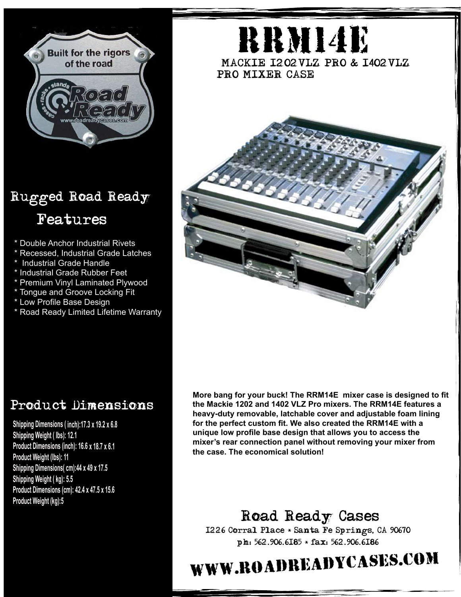

## Rugged Road Ready Features

- \* Double Anchor Industrial Rivets
- \* Recessed, Industrial Grade Latches
- \* Industrial Grade Handle
- \* Industrial Grade Rubber Feet
- \* Premium Vinyl Laminated Plywood
- \* Tongue and Groove Locking Fit
- \* Low Profile Base Design
- \* Road Ready Limited Lifetime Warranty



## Product Dimensions

**Shipping Dimensions ( inch):17.3 <sup>x</sup> 19.2 <sup>x</sup> 6.8 Shipping Weight ( lbs): 12.1 Product Dimensions (inch): 16.6 <sup>x</sup> 18.7 <sup>x</sup> 6.1 Product Weight (lbs): 11 Shipping Dimensions( cm):44 <sup>x</sup> 49 <sup>x</sup> 17.5 Shipping Weight ( kg): 5.5 Product Dimensions (cm): 42.4 <sup>x</sup> 47.5 <sup>x</sup> 15.6 Product Weight (kg):5**

**More bang for your buck! The RRM14E mixer case is designed to fit the Mackie 1202 and 1402 VLZ Pro mixers. The RRM14E features a heavy-duty removable, latchable cover and adjustable foam lining for the perfect custom fit. We also created the RRM14E with a unique low profile base design that allows you to access the mixer's rear connection panel without removing your mixer from the case. The economical solution!**

Road Ready Cases 1226 Corral Place \* Santa Fe Springs, CA 90670 ph: 562.906.6185 \* fax: 562.906.6186

## www.roadreadycases.com